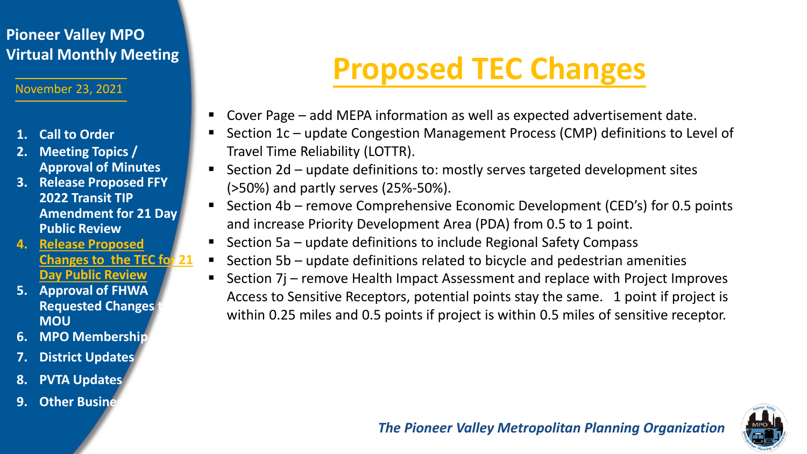## **Pioneer Valley MPO**

November 23, 2021

- **1. Call to Order**
- **2. Meeting Topics / Approval of Minutes**
- **3. Release Proposed FFY 2022 Transit TIP Amendment for 21 Day Public Review**
- **4. Release Proposed Changes to the TEC for 21 Day Public Review**
- **5. Approval of FHWA Requested Changes MOU**
- **6. MPO Membership**
- **7. District Updates**
- **8. PVTA Updates**
- **9. Other Busines**

# **Virtual Monthly Meeting Proposed TEC Changes**

- Cover Page add MEPA information as well as expected advertisement date.
- Section 1c update Congestion Management Process (CMP) definitions to Level of Travel Time Reliability (LOTTR).
- Section 2d update definitions to: mostly serves targeted development sites (>50%) and partly serves (25%-50%).
- Section 4b remove Comprehensive Economic Development (CED's) for 0.5 points and increase Priority Development Area (PDA) from 0.5 to 1 point.
- **Section 5a update definitions to include Regional Safety Compass**
- Section 5b update definitions related to bicycle and pedestrian amenities
- Section 7j remove Health Impact Assessment and replace with Project Improves Access to Sensitive Receptors, potential points stay the same. 1 point if project is within 0.25 miles and 0.5 points if project is within 0.5 miles of sensitive receptor.

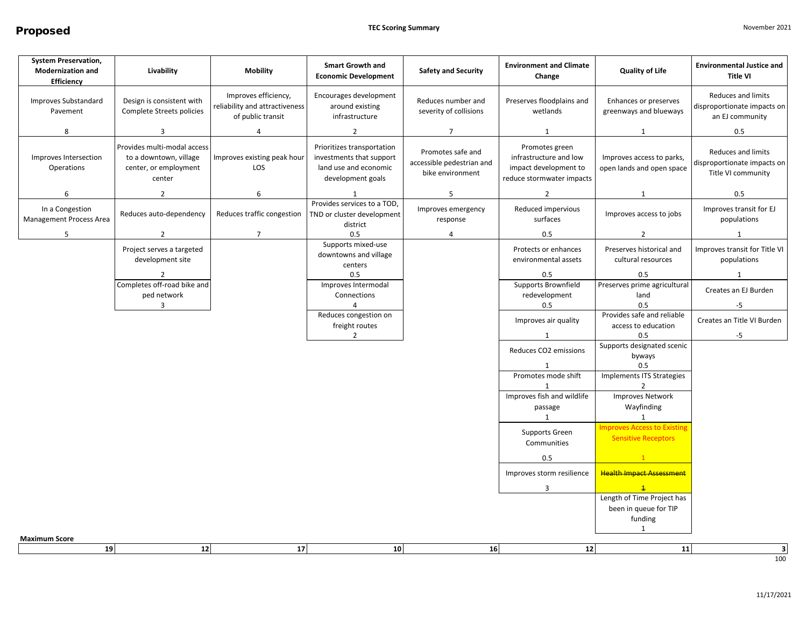| <b>System Preservation,</b><br><b>Modernization and</b><br>Efficiency | Livability                                                                               | <b>Mobility</b>                                                             | <b>Smart Growth and</b><br><b>Economic Development</b>                                               | <b>Safety and Security</b>                                         | <b>Environment and Climate</b><br>Change                                                       | <b>Quality of Life</b>                                           | <b>Environmental Justice and</b><br><b>Title VI</b>                         |
|-----------------------------------------------------------------------|------------------------------------------------------------------------------------------|-----------------------------------------------------------------------------|------------------------------------------------------------------------------------------------------|--------------------------------------------------------------------|------------------------------------------------------------------------------------------------|------------------------------------------------------------------|-----------------------------------------------------------------------------|
| Improves Substandard<br>Pavement                                      | Design is consistent with<br>Complete Streets policies                                   | Improves efficiency,<br>reliability and attractiveness<br>of public transit | Encourages development<br>around existing<br>infrastructure                                          | Reduces number and<br>severity of collisions                       | Preserves floodplains and<br>wetlands                                                          | Enhances or preserves<br>greenways and blueways                  | <b>Reduces and limits</b><br>disproportionate impacts on<br>an EJ community |
| 8                                                                     | $\overline{3}$                                                                           | 4                                                                           | $\overline{2}$                                                                                       | $\overline{7}$                                                     | 1                                                                                              | 1                                                                | 0.5                                                                         |
| Improves Intersection<br>Operations                                   | Provides multi-modal access<br>to a downtown, village<br>center, or employment<br>center | Improves existing peak hour<br>LOS                                          | Prioritizes transportation<br>investments that support<br>land use and economic<br>development goals | Promotes safe and<br>accessible pedestrian and<br>bike environment | Promotes green<br>infrastructure and low<br>impact development to<br>reduce stormwater impacts | Improves access to parks,<br>open lands and open space           | Reduces and limits<br>disproportionate impacts on<br>Title VI community     |
| 6                                                                     | $\overline{2}$                                                                           | 6                                                                           | 1                                                                                                    | 5                                                                  | $\overline{2}$                                                                                 | 1                                                                | 0.5                                                                         |
| In a Congestion<br>Management Process Area                            | Reduces auto-dependency                                                                  | Reduces traffic congestion                                                  | Provides services to a TOD<br>TND or cluster development<br>district                                 | Improves emergency<br>response                                     | Reduced impervious<br>surfaces                                                                 | Improves access to jobs                                          | Improves transit for EJ<br>populations                                      |
| 5                                                                     | $\overline{2}$                                                                           | $\overline{7}$                                                              | 0.5                                                                                                  | 4                                                                  | 0.5                                                                                            | $\overline{2}$                                                   | 1                                                                           |
|                                                                       | Project serves a targeted<br>development site                                            |                                                                             | Supports mixed-use<br>downtowns and village<br>centers                                               |                                                                    | Protects or enhances<br>environmental assets                                                   | Preserves historical and<br>cultural resources                   | Improves transit for Title VI<br>populations                                |
|                                                                       | $\overline{2}$                                                                           |                                                                             | 0.5                                                                                                  |                                                                    | 0.5                                                                                            | 0.5                                                              | $\mathbf{1}$                                                                |
|                                                                       | Completes off-road bike and                                                              |                                                                             | Improves Intermodal                                                                                  |                                                                    | Supports Brownfield                                                                            | Preserves prime agricultural                                     | Creates an EJ Burden                                                        |
|                                                                       | ped network<br>3                                                                         |                                                                             | Connections<br>$\overline{4}$                                                                        |                                                                    | redevelopment<br>0.5                                                                           | land<br>0.5                                                      | -5                                                                          |
|                                                                       |                                                                                          |                                                                             | Reduces congestion on<br>freight routes                                                              |                                                                    | Improves air quality                                                                           | Provides safe and reliable<br>access to education                | Creates an Title VI Burden                                                  |
|                                                                       |                                                                                          |                                                                             | $\overline{2}$                                                                                       |                                                                    | 1                                                                                              | 0.5                                                              | $-5$                                                                        |
|                                                                       |                                                                                          |                                                                             |                                                                                                      |                                                                    | Reduces CO2 emissions                                                                          | Supports designated scenic<br>byways                             |                                                                             |
|                                                                       |                                                                                          |                                                                             |                                                                                                      |                                                                    | 1<br>Promotes mode shift                                                                       | 0.5<br>Implements ITS Strategies                                 |                                                                             |
|                                                                       |                                                                                          |                                                                             |                                                                                                      |                                                                    | -1                                                                                             | $\mathcal{L}$                                                    |                                                                             |
|                                                                       |                                                                                          |                                                                             |                                                                                                      |                                                                    | Improves fish and wildlife                                                                     | <b>Improves Network</b>                                          |                                                                             |
|                                                                       |                                                                                          |                                                                             |                                                                                                      |                                                                    | passage                                                                                        | Wayfinding                                                       |                                                                             |
|                                                                       |                                                                                          |                                                                             |                                                                                                      |                                                                    | $\mathbf{1}$                                                                                   | $\mathbf{1}$                                                     |                                                                             |
|                                                                       |                                                                                          |                                                                             |                                                                                                      |                                                                    | Supports Green<br>Communities                                                                  | <b>Improves Access to Existing</b><br><b>Sensitive Receptors</b> |                                                                             |
|                                                                       |                                                                                          |                                                                             |                                                                                                      |                                                                    | 0.5                                                                                            | 1                                                                |                                                                             |
|                                                                       |                                                                                          |                                                                             |                                                                                                      |                                                                    | Improves storm resilience                                                                      | <b>Health Impact Assessment</b>                                  |                                                                             |
|                                                                       |                                                                                          |                                                                             |                                                                                                      |                                                                    | 3                                                                                              |                                                                  |                                                                             |
|                                                                       |                                                                                          |                                                                             |                                                                                                      |                                                                    |                                                                                                | Length of Time Project has                                       |                                                                             |
|                                                                       |                                                                                          |                                                                             |                                                                                                      |                                                                    |                                                                                                | been in queue for TIP<br>funding                                 |                                                                             |
|                                                                       |                                                                                          |                                                                             |                                                                                                      |                                                                    |                                                                                                | 1                                                                |                                                                             |
| <b>Maximum Score</b>                                                  |                                                                                          |                                                                             |                                                                                                      |                                                                    |                                                                                                |                                                                  |                                                                             |
| 19                                                                    | 12                                                                                       | 17                                                                          | 10                                                                                                   | 16                                                                 | 12                                                                                             | $11$                                                             | မ<br>100                                                                    |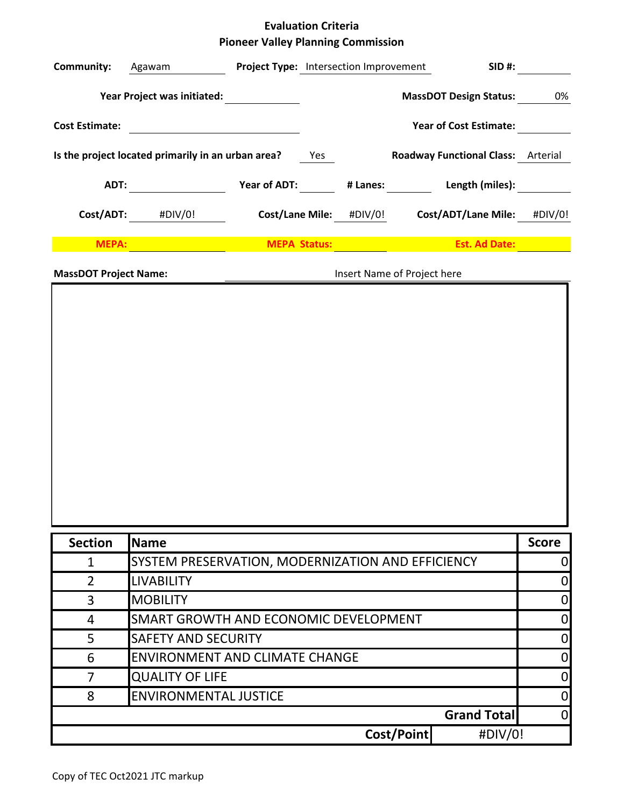## **Evaluation Criteria Pioneer Valley Planning Commission**

| Year Project was initiated:<br><b>MassDOT Design Status:</b><br>0%<br><b>Year of Cost Estimate:</b><br><b>Cost Estimate:</b><br><u> 1990 - Jan Barnett, fransk politik (</u><br>Is the project located primarily in an urban area?<br><b>Roadway Functional Class:</b> Arterial<br>Yes<br>Year of ADT:<br>Length (miles):<br>ADT:<br># Lanes:<br>Cost/ADT:<br><b>Cost/Lane Mile:</b><br>Cost/ADT/Lane Mile: #DIV/0!<br>#DIV/0!<br>#DIV/0!<br>MEPA:<br><b>MEPA Status:</b><br><b>Est. Ad Date:</b><br><b>MassDOT Project Name:</b><br>Insert Name of Project here<br><b>Section</b><br><b>Score</b><br><b>Name</b><br>SYSTEM PRESERVATION, MODERNIZATION AND EFFICIENCY<br>$\mathbf{1}$<br>$\overline{2}$<br><b>LIVABILITY</b><br>$\boldsymbol{0}$<br>3<br><b>MOBILITY</b><br>$\mathbf 0$<br>SMART GROWTH AND ECONOMIC DEVELOPMENT<br>$\boldsymbol{0}$<br>4<br><b>SAFETY AND SECURITY</b><br>$\mathbf 0$<br>5<br>$\mathbf 0$<br><b>ENVIRONMENT AND CLIMATE CHANGE</b><br>6<br> 0 <br><b>QUALITY OF LIFE</b><br>$\overline{7}$<br><b>ENVIRONMENTAL JUSTICE</b><br> 0 <br>8<br><b>Grand Total</b><br> 0 <br>Cost/Point<br>#DIV/0! | <b>Community:</b> | Agawam | Project Type: Intersection Improvement |  | <b>SID#:</b> |                |
|--------------------------------------------------------------------------------------------------------------------------------------------------------------------------------------------------------------------------------------------------------------------------------------------------------------------------------------------------------------------------------------------------------------------------------------------------------------------------------------------------------------------------------------------------------------------------------------------------------------------------------------------------------------------------------------------------------------------------------------------------------------------------------------------------------------------------------------------------------------------------------------------------------------------------------------------------------------------------------------------------------------------------------------------------------------------------------------------------------------------------------|-------------------|--------|----------------------------------------|--|--------------|----------------|
|                                                                                                                                                                                                                                                                                                                                                                                                                                                                                                                                                                                                                                                                                                                                                                                                                                                                                                                                                                                                                                                                                                                                |                   |        |                                        |  |              |                |
|                                                                                                                                                                                                                                                                                                                                                                                                                                                                                                                                                                                                                                                                                                                                                                                                                                                                                                                                                                                                                                                                                                                                |                   |        |                                        |  |              |                |
|                                                                                                                                                                                                                                                                                                                                                                                                                                                                                                                                                                                                                                                                                                                                                                                                                                                                                                                                                                                                                                                                                                                                |                   |        |                                        |  |              |                |
|                                                                                                                                                                                                                                                                                                                                                                                                                                                                                                                                                                                                                                                                                                                                                                                                                                                                                                                                                                                                                                                                                                                                |                   |        |                                        |  |              |                |
|                                                                                                                                                                                                                                                                                                                                                                                                                                                                                                                                                                                                                                                                                                                                                                                                                                                                                                                                                                                                                                                                                                                                |                   |        |                                        |  |              |                |
|                                                                                                                                                                                                                                                                                                                                                                                                                                                                                                                                                                                                                                                                                                                                                                                                                                                                                                                                                                                                                                                                                                                                |                   |        |                                        |  |              |                |
|                                                                                                                                                                                                                                                                                                                                                                                                                                                                                                                                                                                                                                                                                                                                                                                                                                                                                                                                                                                                                                                                                                                                |                   |        |                                        |  |              |                |
|                                                                                                                                                                                                                                                                                                                                                                                                                                                                                                                                                                                                                                                                                                                                                                                                                                                                                                                                                                                                                                                                                                                                |                   |        |                                        |  |              |                |
|                                                                                                                                                                                                                                                                                                                                                                                                                                                                                                                                                                                                                                                                                                                                                                                                                                                                                                                                                                                                                                                                                                                                |                   |        |                                        |  |              |                |
|                                                                                                                                                                                                                                                                                                                                                                                                                                                                                                                                                                                                                                                                                                                                                                                                                                                                                                                                                                                                                                                                                                                                |                   |        |                                        |  |              |                |
|                                                                                                                                                                                                                                                                                                                                                                                                                                                                                                                                                                                                                                                                                                                                                                                                                                                                                                                                                                                                                                                                                                                                |                   |        |                                        |  |              |                |
|                                                                                                                                                                                                                                                                                                                                                                                                                                                                                                                                                                                                                                                                                                                                                                                                                                                                                                                                                                                                                                                                                                                                |                   |        |                                        |  |              |                |
|                                                                                                                                                                                                                                                                                                                                                                                                                                                                                                                                                                                                                                                                                                                                                                                                                                                                                                                                                                                                                                                                                                                                |                   |        |                                        |  |              |                |
|                                                                                                                                                                                                                                                                                                                                                                                                                                                                                                                                                                                                                                                                                                                                                                                                                                                                                                                                                                                                                                                                                                                                |                   |        |                                        |  |              |                |
|                                                                                                                                                                                                                                                                                                                                                                                                                                                                                                                                                                                                                                                                                                                                                                                                                                                                                                                                                                                                                                                                                                                                |                   |        |                                        |  |              |                |
|                                                                                                                                                                                                                                                                                                                                                                                                                                                                                                                                                                                                                                                                                                                                                                                                                                                                                                                                                                                                                                                                                                                                |                   |        |                                        |  |              |                |
|                                                                                                                                                                                                                                                                                                                                                                                                                                                                                                                                                                                                                                                                                                                                                                                                                                                                                                                                                                                                                                                                                                                                |                   |        |                                        |  |              |                |
|                                                                                                                                                                                                                                                                                                                                                                                                                                                                                                                                                                                                                                                                                                                                                                                                                                                                                                                                                                                                                                                                                                                                |                   |        |                                        |  |              |                |
|                                                                                                                                                                                                                                                                                                                                                                                                                                                                                                                                                                                                                                                                                                                                                                                                                                                                                                                                                                                                                                                                                                                                |                   |        |                                        |  |              | $\overline{0}$ |
|                                                                                                                                                                                                                                                                                                                                                                                                                                                                                                                                                                                                                                                                                                                                                                                                                                                                                                                                                                                                                                                                                                                                |                   |        |                                        |  |              |                |
|                                                                                                                                                                                                                                                                                                                                                                                                                                                                                                                                                                                                                                                                                                                                                                                                                                                                                                                                                                                                                                                                                                                                |                   |        |                                        |  |              |                |
|                                                                                                                                                                                                                                                                                                                                                                                                                                                                                                                                                                                                                                                                                                                                                                                                                                                                                                                                                                                                                                                                                                                                |                   |        |                                        |  |              |                |
|                                                                                                                                                                                                                                                                                                                                                                                                                                                                                                                                                                                                                                                                                                                                                                                                                                                                                                                                                                                                                                                                                                                                |                   |        |                                        |  |              |                |
|                                                                                                                                                                                                                                                                                                                                                                                                                                                                                                                                                                                                                                                                                                                                                                                                                                                                                                                                                                                                                                                                                                                                |                   |        |                                        |  |              |                |
|                                                                                                                                                                                                                                                                                                                                                                                                                                                                                                                                                                                                                                                                                                                                                                                                                                                                                                                                                                                                                                                                                                                                |                   |        |                                        |  |              |                |
|                                                                                                                                                                                                                                                                                                                                                                                                                                                                                                                                                                                                                                                                                                                                                                                                                                                                                                                                                                                                                                                                                                                                |                   |        |                                        |  |              |                |
|                                                                                                                                                                                                                                                                                                                                                                                                                                                                                                                                                                                                                                                                                                                                                                                                                                                                                                                                                                                                                                                                                                                                |                   |        |                                        |  |              |                |
|                                                                                                                                                                                                                                                                                                                                                                                                                                                                                                                                                                                                                                                                                                                                                                                                                                                                                                                                                                                                                                                                                                                                |                   |        |                                        |  |              |                |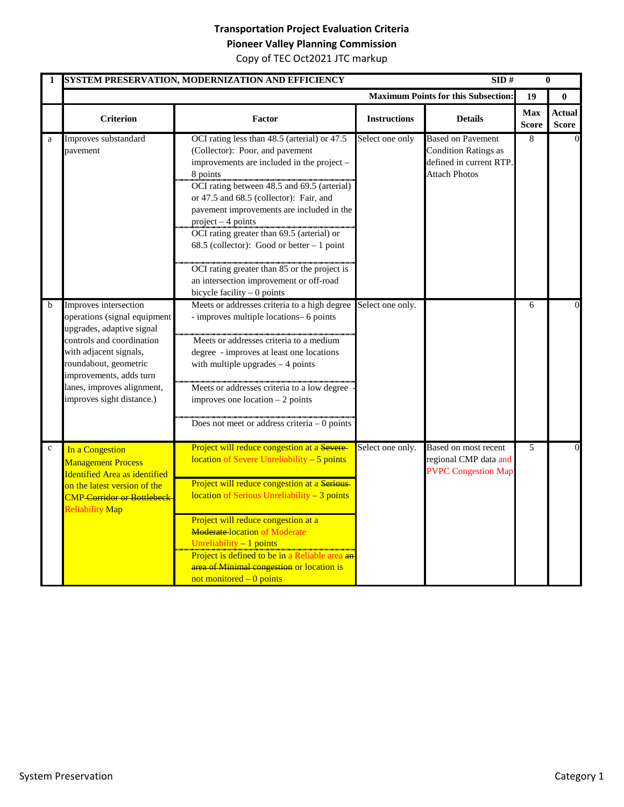## **Transportation Project Evaluation Criteria**

**Pioneer Valley Planning Commission**

| 1           |                                                                                                                                                                                                                                                          | SYSTEM PRESERVATION, MODERNIZATION AND EFFICIENCY                                                                                                                                                                                                                                                                                                                                                                                                                                                                               |                     | SID#                                                                                                       |                            | $\bf{0}$                      |
|-------------|----------------------------------------------------------------------------------------------------------------------------------------------------------------------------------------------------------------------------------------------------------|---------------------------------------------------------------------------------------------------------------------------------------------------------------------------------------------------------------------------------------------------------------------------------------------------------------------------------------------------------------------------------------------------------------------------------------------------------------------------------------------------------------------------------|---------------------|------------------------------------------------------------------------------------------------------------|----------------------------|-------------------------------|
|             |                                                                                                                                                                                                                                                          |                                                                                                                                                                                                                                                                                                                                                                                                                                                                                                                                 |                     | <b>Maximum Points for this Subsection:</b>                                                                 | 19                         | $\bf{0}$                      |
|             | <b>Criterion</b>                                                                                                                                                                                                                                         | <b>Factor</b>                                                                                                                                                                                                                                                                                                                                                                                                                                                                                                                   | <b>Instructions</b> | <b>Details</b>                                                                                             | <b>Max</b><br><b>Score</b> | <b>Actual</b><br><b>Score</b> |
| a           | Improves substandard<br>pavement                                                                                                                                                                                                                         | OCI rating less than 48.5 (arterial) or 47.5<br>(Collector): Poor, and pavement<br>improvements are included in the project -<br>8 points<br>OCI rating between 48.5 and 69.5 (arterial)<br>or 47.5 and 68.5 (collector): Fair, and<br>pavement improvements are included in the<br>$project - 4 points$<br>OCI rating greater than 69.5 (arterial) or<br>68.5 (collector): Good or better $-1$ point<br>OCI rating greater than 85 or the project is<br>an intersection improvement or off-road<br>bicycle facility - 0 points | Select one only     | <b>Based on Pavement</b><br><b>Condition Ratings as</b><br>defined in current RTP.<br><b>Attach Photos</b> | 8                          | $\overline{0}$                |
| b           | Improves intersection<br>operations (signal equipment<br>upgrades, adaptive signal<br>controls and coordination<br>with adjacent signals,<br>roundabout, geometric<br>improvements, adds turn<br>lanes, improves alignment,<br>improves sight distance.) | Meets or addresses criteria to a high degree<br>- improves multiple locations- 6 points<br>Meets or addresses criteria to a medium<br>degree - improves at least one locations<br>with multiple upgrades $-4$ points<br>Meets or addresses criteria to a low degree<br>improves one location $-2$ points<br>Does not meet or address criteria $-0$ points                                                                                                                                                                       | Select one only.    |                                                                                                            | 6                          | $\overline{0}$                |
| $\mathbf c$ | In a Congestion<br><b>Management Process</b><br><b>Identified Area as identified</b><br>on the latest version of the<br><b>CMP</b> Corridor or Bottlebeck<br><b>Reliability Map</b>                                                                      | Project will reduce congestion at a Severe-<br>location of Severe Unreliability - 5 points<br>Project will reduce congestion at a Serious<br>location of Serious Unreliability - 3 points<br>Project will reduce congestion at a<br><b>Moderate-location of Moderate</b><br>Unreliability $-1$ points<br>Project is defined to be in a Reliable area an<br>area of Minimal congestion or location is<br>not monitored $-0$ points                                                                                               | Select one only.    | Based on most recent<br>regional CMP data and<br><b>PVPC Congestion Map</b>                                | 5                          | $\overline{0}$                |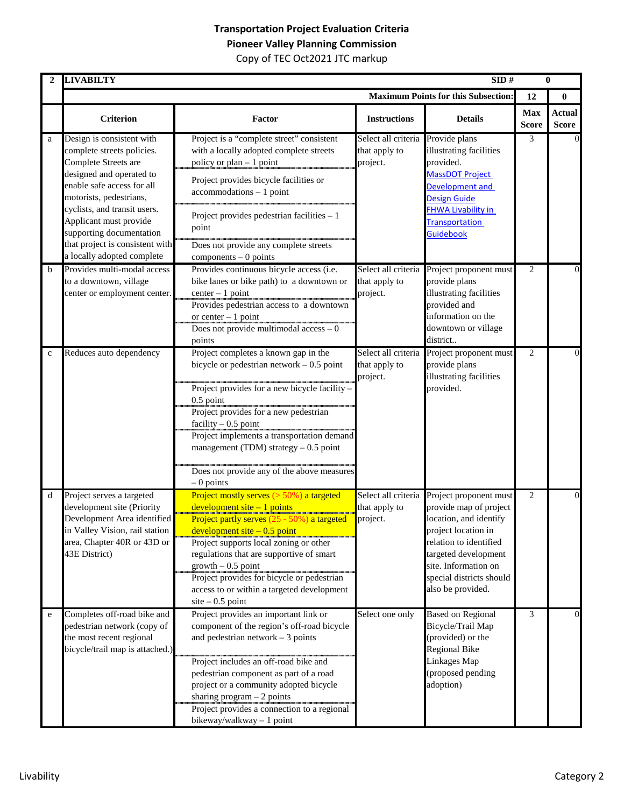|             | <b>LIVABILTY</b>                                                                                                                                                                                                                                                                                                            |                                                                                                                                                                                                                                                                                                                                                                                             |                                                                | SID#                                                                                                                                                                                                                         |                            | $\bf{0}$                      |
|-------------|-----------------------------------------------------------------------------------------------------------------------------------------------------------------------------------------------------------------------------------------------------------------------------------------------------------------------------|---------------------------------------------------------------------------------------------------------------------------------------------------------------------------------------------------------------------------------------------------------------------------------------------------------------------------------------------------------------------------------------------|----------------------------------------------------------------|------------------------------------------------------------------------------------------------------------------------------------------------------------------------------------------------------------------------------|----------------------------|-------------------------------|
|             |                                                                                                                                                                                                                                                                                                                             |                                                                                                                                                                                                                                                                                                                                                                                             |                                                                | <b>Maximum Points for this Subsection:</b>                                                                                                                                                                                   | 12                         | $\bf{0}$                      |
|             | <b>Criterion</b>                                                                                                                                                                                                                                                                                                            | Factor                                                                                                                                                                                                                                                                                                                                                                                      | <b>Instructions</b>                                            | <b>Details</b>                                                                                                                                                                                                               | <b>Max</b><br><b>Score</b> | <b>Actual</b><br><b>Score</b> |
| a           | Design is consistent with<br>complete streets policies.<br>Complete Streets are<br>designed and operated to<br>enable safe access for all<br>motorists, pedestrians,<br>cyclists, and transit users.<br>Applicant must provide<br>supporting documentation<br>that project is consistent with<br>a locally adopted complete | Project is a "complete street" consistent<br>with a locally adopted complete streets<br>policy or plan - 1 point<br>Project provides bicycle facilities or<br>$accommodations - 1 point$<br>Project provides pedestrian facilities - 1<br>point<br>Does not provide any complete streets<br>$components - 0 points$                                                                         | Select all criteria Provide plans<br>that apply to<br>project. | illustrating facilities<br>provided.<br><b>MassDOT Project</b><br>Development and<br><b>Design Guide</b><br><b>FHWA Livability in</b><br><b>Transportation</b><br>Guidebook                                                  | 3                          | $\Omega$                      |
| b           | Provides multi-modal access<br>to a downtown, village<br>center or employment center.                                                                                                                                                                                                                                       | Provides continuous bicycle access (i.e.<br>bike lanes or bike path) to a downtown or<br>$center-1 point$<br>Provides pedestrian access to a downtown<br>or center $-1$ point<br>Does not provide multimodal $access - 0$<br>points                                                                                                                                                         | Select all criteria<br>that apply to<br>project.               | Project proponent must<br>provide plans<br>illustrating facilities<br>provided and<br>information on the<br>downtown or village<br>district                                                                                  | 2                          | $\Omega$                      |
| $\mathbf c$ | Reduces auto dependency                                                                                                                                                                                                                                                                                                     | Project completes a known gap in the<br>bicycle or pedestrian network $-0.5$ point<br>Project provides for a new bicycle facility -<br>0.5 point<br>Project provides for a new pedestrian<br>facility $-0.5$ point<br>Project implements a transportation demand<br>management (TDM) strategy $-0.5$ point<br>Does not provide any of the above measures<br>$-0$ points                     | Select all criteria<br>that apply to<br>project.               | Project proponent must<br>provide plans<br>illustrating facilities<br>provided.                                                                                                                                              | 2                          | 0                             |
| d           | Project serves a targeted<br>development site (Priority<br>Development Area identified<br>in Valley Vision, rail station<br>area, Chapter 40R or 43D or<br>43E District)                                                                                                                                                    | Project mostly serves $(>50\%)$ a targeted<br>$development site - 1 points$<br>Project partly serves (25 - 50%) a targeted<br>development site $-0.5$ point<br>Project supports local zoning or other<br>regulations that are supportive of smart<br>$growth - 0.5$ point<br>Project provides for bicycle or pedestrian<br>access to or within a targeted development<br>$site - 0.5$ point | Select all criteria<br>that apply to<br>project.               | Project proponent must<br>provide map of project<br>location, and identify<br>project location in<br>relation to identified<br>targeted development<br>site. Information on<br>special districts should<br>also be provided. | 2                          | $\Omega$                      |
| e           | Completes off-road bike and<br>pedestrian network (copy of<br>the most recent regional<br>bicycle/trail map is attached.)                                                                                                                                                                                                   | Project provides an important link or<br>component of the region's off-road bicycle<br>and pedestrian network $-3$ points<br>Project includes an off-road bike and<br>pedestrian component as part of a road<br>project or a community adopted bicycle<br>sharing program $-2$ points<br>Project provides a connection to a regional<br>bikeway/walkway - 1 point                           | Select one only                                                | <b>Based on Regional</b><br>Bicycle/Trail Map<br>(provided) or the<br><b>Regional Bike</b><br>Linkages Map<br>(proposed pending<br>adoption)                                                                                 | 3                          | $\overline{0}$                |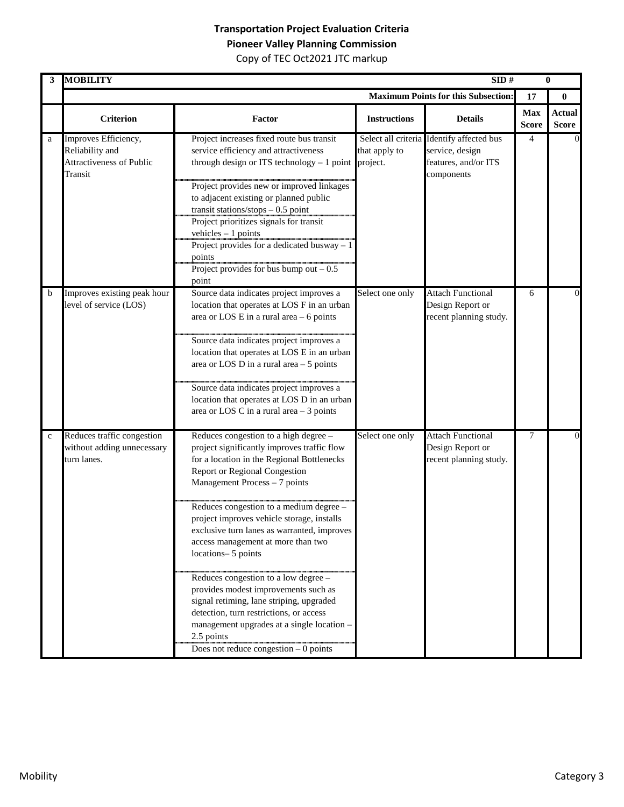| 3           | <b>MOBILITY</b>                                                                |                                                                                                                                                                                                                                                                                                                                                                                                                                                                                                                                                                                                                                                                                       |                     | SID#                                                                                               |                            | $\bf{0}$                      |
|-------------|--------------------------------------------------------------------------------|---------------------------------------------------------------------------------------------------------------------------------------------------------------------------------------------------------------------------------------------------------------------------------------------------------------------------------------------------------------------------------------------------------------------------------------------------------------------------------------------------------------------------------------------------------------------------------------------------------------------------------------------------------------------------------------|---------------------|----------------------------------------------------------------------------------------------------|----------------------------|-------------------------------|
|             |                                                                                |                                                                                                                                                                                                                                                                                                                                                                                                                                                                                                                                                                                                                                                                                       |                     | <b>Maximum Points for this Subsection:</b>                                                         | 17                         | $\bf{0}$                      |
|             | <b>Criterion</b>                                                               | Factor                                                                                                                                                                                                                                                                                                                                                                                                                                                                                                                                                                                                                                                                                | <b>Instructions</b> | <b>Details</b>                                                                                     | <b>Max</b><br><b>Score</b> | <b>Actual</b><br><b>Score</b> |
| a           | Improves Efficiency,<br>Reliability and<br>Attractiveness of Public<br>Transit | Project increases fixed route bus transit<br>service efficiency and attractiveness<br>through design or ITS technology $-1$ point project.<br>Project provides new or improved linkages<br>to adjacent existing or planned public<br>transit stations/stops $-0.5$ point<br>Project prioritizes signals for transit<br>vehicles $-1$ points<br>Project provides for a dedicated busway $-1$<br>points<br>Project provides for bus bump out $-0.5$<br>point                                                                                                                                                                                                                            | that apply to       | Select all criteria Identify affected bus<br>service, design<br>features, and/or ITS<br>components | 4                          | $\overline{0}$                |
| b           | Improves existing peak hour<br>level of service (LOS)                          | Source data indicates project improves a<br>location that operates at LOS F in an urban<br>area or LOS $E$ in a rural area $-6$ points<br>Source data indicates project improves a<br>location that operates at LOS E in an urban<br>area or LOS D in a rural area $-5$ points<br>Source data indicates project improves a<br>location that operates at LOS D in an urban<br>area or LOS C in a rural area $-3$ points                                                                                                                                                                                                                                                                | Select one only     | <b>Attach Functional</b><br>Design Report or<br>recent planning study.                             | 6                          | 0                             |
| $\mathbf c$ | Reduces traffic congestion<br>without adding unnecessary<br>turn lanes.        | Reduces congestion to a high degree -<br>project significantly improves traffic flow<br>for a location in the Regional Bottlenecks<br>Report or Regional Congestion<br>Management Process - 7 points<br>Reduces congestion to a medium degree -<br>project improves vehicle storage, installs<br>exclusive turn lanes as warranted, improves<br>access management at more than two<br>locations-5 points<br>Reduces congestion to a low degree -<br>provides modest improvements such as<br>signal retiming, lane striping, upgraded<br>detection, turn restrictions, or access<br>management upgrades at a single location -<br>2.5 points<br>Does not reduce congestion $-0$ points | Select one only     | <b>Attach Functional</b><br>Design Report or<br>recent planning study.                             | 7                          | $\Omega$                      |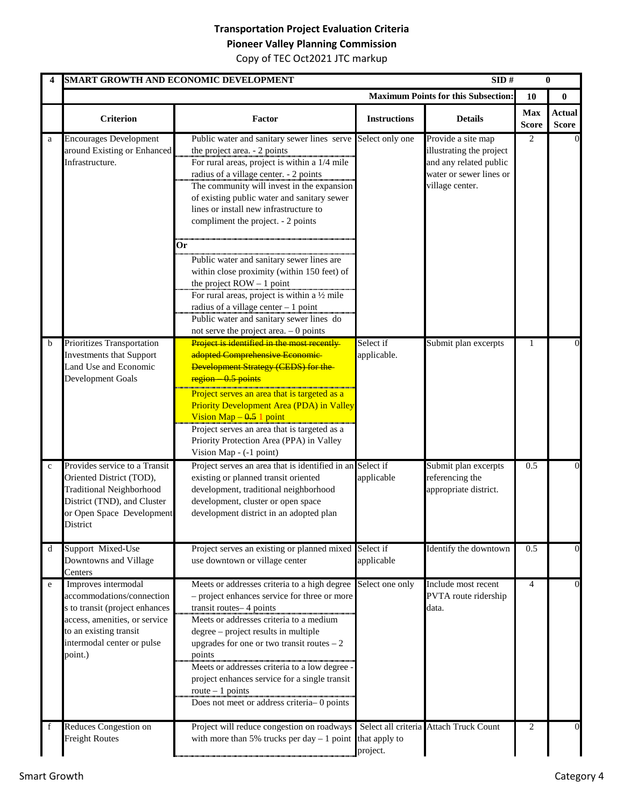## **Transportation Project Evaluation Criteria**

**Pioneer Valley Planning Commission** Copy of TEC Oct2021 JTC markup

|              |                                                                                                                                                                                        | SMART GROWTH AND ECONOMIC DEVELOPMENT                                                                                                                                                                                                                                                                                                                                                                                                                                                                          |                           | SID#                                                                                                                   |                            | $\bf{0}$                      |
|--------------|----------------------------------------------------------------------------------------------------------------------------------------------------------------------------------------|----------------------------------------------------------------------------------------------------------------------------------------------------------------------------------------------------------------------------------------------------------------------------------------------------------------------------------------------------------------------------------------------------------------------------------------------------------------------------------------------------------------|---------------------------|------------------------------------------------------------------------------------------------------------------------|----------------------------|-------------------------------|
|              |                                                                                                                                                                                        |                                                                                                                                                                                                                                                                                                                                                                                                                                                                                                                |                           | <b>Maximum Points for this Subsection:</b>                                                                             | 10                         | $\bf{0}$                      |
|              | <b>Criterion</b>                                                                                                                                                                       | Factor                                                                                                                                                                                                                                                                                                                                                                                                                                                                                                         | <b>Instructions</b>       | <b>Details</b>                                                                                                         | <b>Max</b><br><b>Score</b> | <b>Actual</b><br><b>Score</b> |
| a            | <b>Encourages Development</b><br>around Existing or Enhanced<br>Infrastructure.                                                                                                        | Public water and sanitary sewer lines serve<br>the project area. - 2 points<br>For rural areas, project is within a 1/4 mile<br>radius of a village center. - 2 points<br>The community will invest in the expansion<br>of existing public water and sanitary sewer<br>lines or install new infrastructure to<br>compliment the project. - 2 points                                                                                                                                                            | Select only one           | Provide a site map<br>illustrating the project<br>and any related public<br>water or sewer lines or<br>village center. | 2                          |                               |
|              |                                                                                                                                                                                        | Оr<br>Public water and sanitary sewer lines are<br>within close proximity (within 150 feet) of<br>the project $ROW - 1$ point<br>For rural areas, project is within a $\frac{1}{2}$ mile<br>radius of a village center $-1$ point<br>Public water and sanitary sewer lines do<br>not serve the project area. $-0$ points                                                                                                                                                                                       |                           |                                                                                                                        |                            |                               |
| b            | Prioritizes Transportation<br><b>Investments that Support</b><br>Land Use and Economic<br>Development Goals                                                                            | Project is identified in the most recently<br>adopted Comprehensive Economic<br>Development Strategy (CEDS) for the-<br>region 0.5 points<br><u> La Baranta da Baranta da Baranta da Baranta da Baranta da Baranta da Baranta da Baranta da Baranta da Ba</u><br>Project serves an area that is targeted as a<br>Priority Development Area (PDA) in Valley<br>Vision Map $-0.5$ 1 point<br>Project serves an area that is targeted as a<br>Priority Protection Area (PPA) in Valley<br>Vision Map - (-1 point) | Select if<br>applicable.  | Submit plan excerpts                                                                                                   | 1                          | $\Omega$                      |
| $\mathbf{C}$ | Provides service to a Transit<br>Oriented District (TOD),<br><b>Traditional Neighborhood</b><br>District (TND), and Cluster<br>or Open Space Development<br>District                   | Project serves an area that is identified in an Select if<br>existing or planned transit oriented<br>development, traditional neighborhood<br>development, cluster or open space<br>development district in an adopted plan                                                                                                                                                                                                                                                                                    | applicable                | Submit plan excerpts<br>referencing the<br>appropriate district.                                                       | 0.5                        | $\Omega$                      |
| d            | Support Mixed-Use<br>Downtowns and Village<br>Centers                                                                                                                                  | Project serves an existing or planned mixed<br>use downtown or village center                                                                                                                                                                                                                                                                                                                                                                                                                                  | Select if<br>applicable   | Identify the downtown                                                                                                  | 0.5                        | $\overline{0}$                |
| e            | Improves intermodal<br>accommodations/connection<br>s to transit (project enhances<br>access, amenities, or service<br>to an existing transit<br>intermodal center or pulse<br>point.) | Meets or addresses criteria to a high degree<br>- project enhances service for three or more<br>transit routes-4 points<br>Meets or addresses criteria to a medium<br>degree – project results in multiple<br>upgrades for one or two transit routes $-2$<br>points<br>Meets or addresses criteria to a low degree -<br>project enhances service for a single transit<br>route $-1$ points<br>Does not meet or address criteria-0 points                                                                       | Select one only           | Include most recent<br>PVTA route ridership<br>data.                                                                   | $\overline{4}$             | $\overline{0}$                |
| f            | Reduces Congestion on<br><b>Freight Routes</b>                                                                                                                                         | Project will reduce congestion on roadways<br>with more than 5% trucks per day $-1$ point                                                                                                                                                                                                                                                                                                                                                                                                                      | that apply to<br>project. | Select all criteria Attach Truck Count                                                                                 | 2                          | 0                             |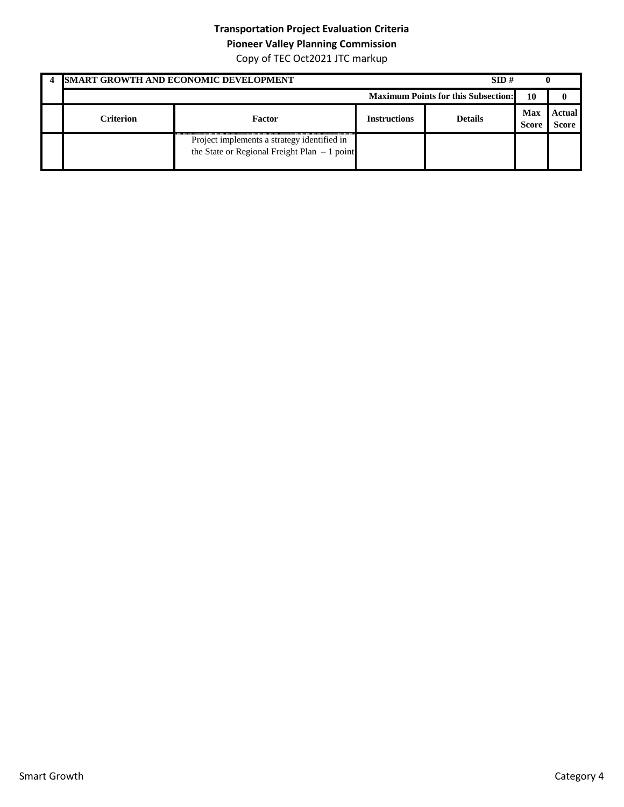## **Transportation Project Evaluation Criteria**

**Pioneer Valley Planning Commission**

|           | <b>ISMART GROWTH AND ECONOMIC DEVELOPMENT</b>                                                |                     | SID#                                       |                     |                        |
|-----------|----------------------------------------------------------------------------------------------|---------------------|--------------------------------------------|---------------------|------------------------|
|           |                                                                                              |                     | <b>Maximum Points for this Subsection:</b> | 10                  |                        |
| Criterion | Factor                                                                                       | <b>Instructions</b> | <b>Details</b>                             | Max<br><b>Score</b> | Actual<br><b>Score</b> |
|           | Project implements a strategy identified in<br>the State or Regional Freight Plan $-1$ point |                     |                                            |                     |                        |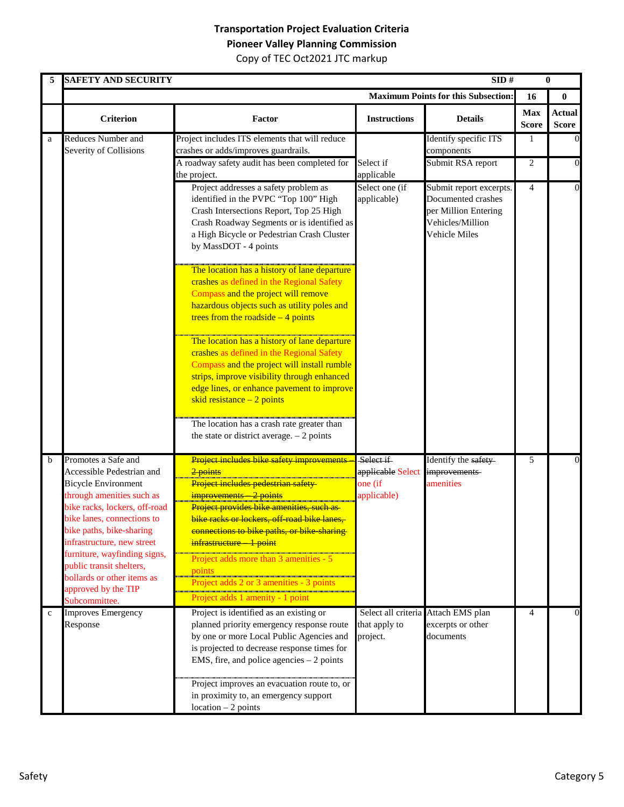|             | <b>SAFETY AND SECURITY</b>                                                                                                                                                                             |                                                                                                                                                                                                                                                                                                                                                |                                                          | SID#                                                                                                       |                            | $\bf{0}$                      |
|-------------|--------------------------------------------------------------------------------------------------------------------------------------------------------------------------------------------------------|------------------------------------------------------------------------------------------------------------------------------------------------------------------------------------------------------------------------------------------------------------------------------------------------------------------------------------------------|----------------------------------------------------------|------------------------------------------------------------------------------------------------------------|----------------------------|-------------------------------|
|             |                                                                                                                                                                                                        |                                                                                                                                                                                                                                                                                                                                                |                                                          | <b>Maximum Points for this Subsection:</b>                                                                 | 16                         | $\bf{0}$                      |
|             | <b>Criterion</b>                                                                                                                                                                                       | Factor                                                                                                                                                                                                                                                                                                                                         | <b>Instructions</b>                                      | <b>Details</b>                                                                                             | <b>Max</b><br><b>Score</b> | <b>Actual</b><br><b>Score</b> |
| a           | <b>Reduces Number and</b><br>Severity of Collisions                                                                                                                                                    | Project includes ITS elements that will reduce<br>crashes or adds/improves guardrails.                                                                                                                                                                                                                                                         |                                                          | Identify specific ITS<br>components                                                                        | 1                          | $\boldsymbol{0}$              |
|             |                                                                                                                                                                                                        | A roadway safety audit has been completed for<br>the project.                                                                                                                                                                                                                                                                                  | Select if<br>applicable                                  | Submit RSA report                                                                                          | 2                          | $\mathbf 0$                   |
|             |                                                                                                                                                                                                        | Project addresses a safety problem as<br>identified in the PVPC "Top 100" High<br>Crash Intersections Report, Top 25 High<br>Crash Roadway Segments or is identified as<br>a High Bicycle or Pedestrian Crash Cluster<br>by MassDOT - 4 points                                                                                                 | Select one (if<br>applicable)                            | Submit report excerpts.<br>Documented crashes<br>per Million Entering<br>Vehicles/Million<br>Vehicle Miles | $\overline{4}$             | $\mathbf 0$                   |
|             |                                                                                                                                                                                                        | The location has a history of lane departure<br>crashes as defined in the Regional Safety<br>Compass and the project will remove<br>hazardous objects such as utility poles and<br>trees from the roadside $-4$ points                                                                                                                         |                                                          |                                                                                                            |                            |                               |
|             |                                                                                                                                                                                                        | The location has a history of lane departure<br>crashes as defined in the Regional Safety<br>Compass and the project will install rumble<br>strips, improve visibility through enhanced<br>edge lines, or enhance pavement to improve<br>skid resistance $-2$ points                                                                           |                                                          |                                                                                                            |                            |                               |
|             |                                                                                                                                                                                                        | The location has a crash rate greater than<br>the state or district average. $-2$ points                                                                                                                                                                                                                                                       |                                                          |                                                                                                            |                            |                               |
| b           | Promotes a Safe and<br>Accessible Pedestrian and<br><b>Bicycle Environment</b><br>through amenities such as<br>bike racks, lockers, off-road<br>bike lanes, connections to<br>bike paths, bike-sharing | <b>Project includes bike safety improvements</b><br>2 points<br>Project includes pedestrian safety<br>improvements 2 points<br>Project provides bike amenities, such as<br>bike racks or lockers, off-road bike lanes,<br>connections to bike paths, or bike-sharing-                                                                          | Select if<br>applicable Select<br>one (if<br>applicable) | Identify the safety<br>improvements<br>amenities                                                           | 5                          | $\overline{0}$                |
|             | infrastructure, new street<br>furniture, wayfinding signs,<br>public transit shelters,<br>bollards or other items as<br>approved by the TIP<br>Subcommittee.                                           | infrastructure 1 point<br>Project adds more than 3 amenities - 5<br><u>points</u><br>Project adds 2 or 3 amenities - 3 points<br>Project adds 1 amenity - 1 point                                                                                                                                                                              |                                                          |                                                                                                            |                            |                               |
| $\mathbf c$ | <b>Improves Emergency</b><br>Response                                                                                                                                                                  | Project is identified as an existing or<br>planned priority emergency response route<br>by one or more Local Public Agencies and<br>is projected to decrease response times for<br>EMS, fire, and police agencies $-2$ points<br>Project improves an evacuation route to, or<br>in proximity to, an emergency support<br>$location - 2 points$ | that apply to<br>project.                                | Select all criteria Attach EMS plan<br>excerpts or other<br>documents                                      | 4                          | 0                             |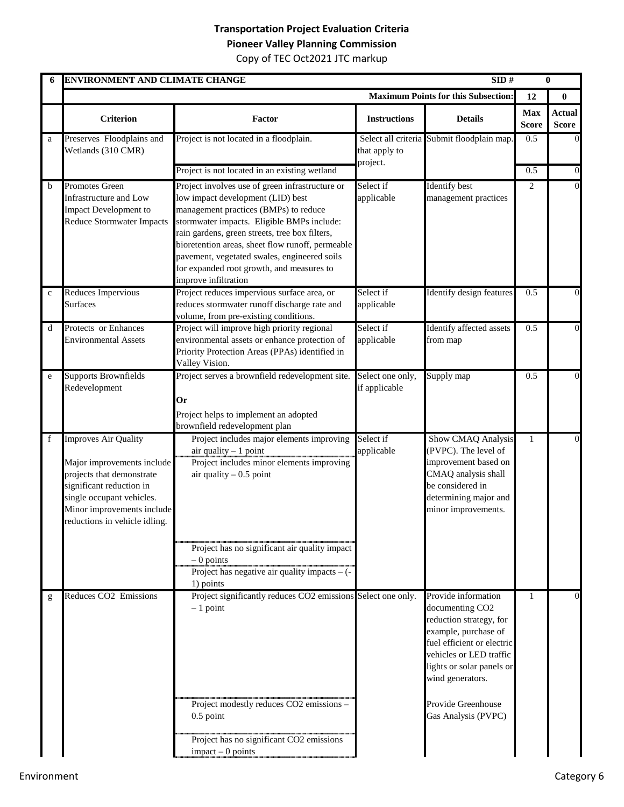| 6           | ENVIRONMENT AND CLIMATE CHANGE                                                                                                                                                                          |                                                                                                                                                                                                                                                                                                                                                                                                        |                                   | SID#                                                                                                                                                                                                                                                         |                            | $\bf{0}$                      |
|-------------|---------------------------------------------------------------------------------------------------------------------------------------------------------------------------------------------------------|--------------------------------------------------------------------------------------------------------------------------------------------------------------------------------------------------------------------------------------------------------------------------------------------------------------------------------------------------------------------------------------------------------|-----------------------------------|--------------------------------------------------------------------------------------------------------------------------------------------------------------------------------------------------------------------------------------------------------------|----------------------------|-------------------------------|
|             |                                                                                                                                                                                                         |                                                                                                                                                                                                                                                                                                                                                                                                        |                                   | <b>Maximum Points for this Subsection:</b>                                                                                                                                                                                                                   | 12                         | $\bf{0}$                      |
|             | <b>Criterion</b>                                                                                                                                                                                        | Factor                                                                                                                                                                                                                                                                                                                                                                                                 | <b>Instructions</b>               | <b>Details</b>                                                                                                                                                                                                                                               | <b>Max</b><br><b>Score</b> | <b>Actual</b><br><b>Score</b> |
| a           | Preserves Floodplains and<br>Wetlands (310 CMR)                                                                                                                                                         | Project is not located in a floodplain.                                                                                                                                                                                                                                                                                                                                                                | that apply to<br>project.         | Select all criteria Submit floodplain map.                                                                                                                                                                                                                   | 0.5                        |                               |
|             |                                                                                                                                                                                                         | Project is not located in an existing wetland                                                                                                                                                                                                                                                                                                                                                          |                                   |                                                                                                                                                                                                                                                              | 0.5                        | $\Omega$                      |
| b           | Promotes Green<br>Infrastructure and Low<br><b>Impact Development to</b><br><b>Reduce Stormwater Impacts</b>                                                                                            | Project involves use of green infrastructure or<br>low impact development (LID) best<br>management practices (BMPs) to reduce<br>stormwater impacts. Eligible BMPs include:<br>rain gardens, green streets, tree box filters,<br>bioretention areas, sheet flow runoff, permeable<br>pavement, vegetated swales, engineered soils<br>for expanded root growth, and measures to<br>improve infiltration | Select if<br>applicable           | <b>Identify</b> best<br>management practices                                                                                                                                                                                                                 | $\overline{2}$             |                               |
| $\mathbf c$ | Reduces Impervious<br><b>Surfaces</b>                                                                                                                                                                   | Project reduces impervious surface area, or<br>reduces stormwater runoff discharge rate and<br>volume, from pre-existing conditions.                                                                                                                                                                                                                                                                   | Select if<br>applicable           | Identify design features                                                                                                                                                                                                                                     | 0.5                        | 0                             |
| d           | Protects or Enhances<br><b>Environmental Assets</b>                                                                                                                                                     | Project will improve high priority regional<br>environmental assets or enhance protection of<br>Priority Protection Areas (PPAs) identified in<br>Valley Vision.                                                                                                                                                                                                                                       | Select if<br>applicable           | Identify affected assets<br>from map                                                                                                                                                                                                                         | 0.5                        | $\Omega$                      |
| e           | <b>Supports Brownfields</b><br>Redevelopment                                                                                                                                                            | Project serves a brownfield redevelopment site.<br>0r<br>Project helps to implement an adopted<br>brownfield redevelopment plan                                                                                                                                                                                                                                                                        | Select one only,<br>if applicable | Supply map                                                                                                                                                                                                                                                   | 0.5                        | $\Omega$                      |
| f           | Improves Air Quality<br>Major improvements include<br>projects that demonstrate<br>significant reduction in<br>single occupant vehicles.<br>Minor improvements include<br>reductions in vehicle idling. | Project includes major elements improving<br>air quality $-1$ point<br>Project includes minor elements improving<br>air quality $-0.5$ point<br>Project has no significant air quality impact<br>$-0$ points<br>Project has negative air quality impacts $ (-$<br>1) points                                                                                                                            | Select if<br>applicable           | <b>Show CMAQ Analysis</b><br>(PVPC). The level of<br>improvement based on<br>CMAQ analysis shall<br>be considered in<br>determining major and<br>minor improvements.                                                                                         | 1                          | $\Omega$                      |
| g           | Reduces CO2 Emissions                                                                                                                                                                                   | Project significantly reduces CO2 emissions Select one only.<br>$-1$ point<br>Project modestly reduces CO2 emissions -<br>$0.5$ point<br>Project has no significant CO2 emissions<br>$impact - 0 points$                                                                                                                                                                                               |                                   | Provide information<br>documenting CO <sub>2</sub><br>reduction strategy, for<br>example, purchase of<br>fuel efficient or electric<br>vehicles or LED traffic<br>lights or solar panels or<br>wind generators.<br>Provide Greenhouse<br>Gas Analysis (PVPC) | $\mathbf{1}$               | $\Omega$                      |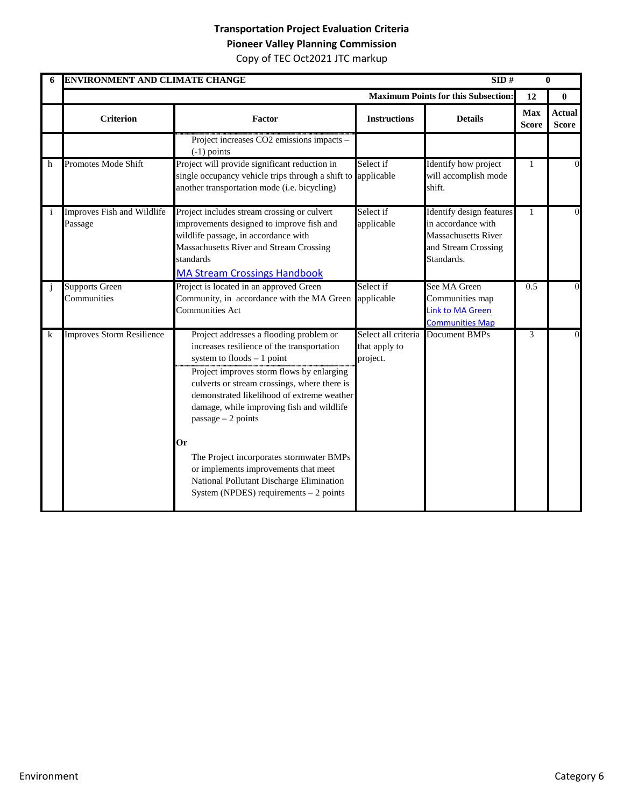| 6 | ENVIRONMENT AND CLIMATE CHANGE        |                                                                                                                                                                                                                                                                                                                                                                                                                                                                                                                        |                           | SID#                                                                                                                     |                            | $\mathbf{0}$                  |
|---|---------------------------------------|------------------------------------------------------------------------------------------------------------------------------------------------------------------------------------------------------------------------------------------------------------------------------------------------------------------------------------------------------------------------------------------------------------------------------------------------------------------------------------------------------------------------|---------------------------|--------------------------------------------------------------------------------------------------------------------------|----------------------------|-------------------------------|
|   |                                       |                                                                                                                                                                                                                                                                                                                                                                                                                                                                                                                        |                           | <b>Maximum Points for this Subsection:</b>                                                                               | 12                         | $\bf{0}$                      |
|   | <b>Criterion</b>                      | Factor                                                                                                                                                                                                                                                                                                                                                                                                                                                                                                                 | <b>Instructions</b>       | <b>Details</b>                                                                                                           | <b>Max</b><br><b>Score</b> | <b>Actual</b><br><b>Score</b> |
|   |                                       | Project increases CO2 emissions impacts -<br>$(-1)$ points                                                                                                                                                                                                                                                                                                                                                                                                                                                             |                           |                                                                                                                          |                            |                               |
| h | Promotes Mode Shift                   | Project will provide significant reduction in<br>single occupancy vehicle trips through a shift to<br>another transportation mode (i.e. bicycling)                                                                                                                                                                                                                                                                                                                                                                     | Select if<br>applicable   | Identify how project<br>will accomplish mode<br>shift.                                                                   | $\mathbf{1}$               | $\Omega$                      |
|   | Improves Fish and Wildlife<br>Passage | Project includes stream crossing or culvert<br>improvements designed to improve fish and<br>wildlife passage, in accordance with<br>Massachusetts River and Stream Crossing<br>standards<br><b>MA Stream Crossings Handbook</b>                                                                                                                                                                                                                                                                                        | Select if<br>applicable   | <b>Identify design features</b><br>in accordance with<br><b>Massachusetts River</b><br>and Stream Crossing<br>Standards. | $\mathbf{1}$               | $\overline{0}$                |
|   | <b>Supports Green</b><br>Communities  | Project is located in an approved Green<br>Community, in accordance with the MA Green<br><b>Communities Act</b>                                                                                                                                                                                                                                                                                                                                                                                                        | Select if<br>applicable   | See MA Green<br>Communities map<br><b>Link to MA Green</b><br><b>Communities Map</b>                                     | 0.5                        | $\Omega$                      |
| k | <b>Improves Storm Resilience</b>      | Project addresses a flooding problem or<br>increases resilience of the transportation<br>system to $floods - 1$ point<br>Project improves storm flows by enlarging<br>culverts or stream crossings, where there is<br>demonstrated likelihood of extreme weather<br>damage, while improving fish and wildlife<br>$passage - 2 points$<br>Or<br>The Project incorporates stormwater BMPs<br>or implements improvements that meet<br>National Pollutant Discharge Elimination<br>System (NPDES) requirements $-2$ points | that apply to<br>project. | Select all criteria Document BMPs                                                                                        | 3                          | $\theta$                      |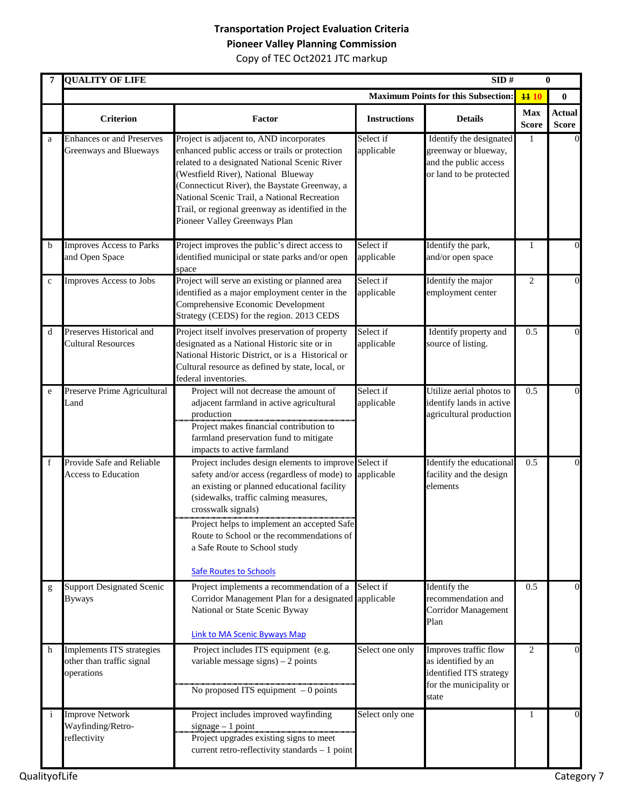|             | <b>QUALITY OF LIFE</b>                                               |                                                                                                                                                                                                                                                                                                                                                                                             |                         | SID#                                                                                                        |                            | $\bf{0}$                      |
|-------------|----------------------------------------------------------------------|---------------------------------------------------------------------------------------------------------------------------------------------------------------------------------------------------------------------------------------------------------------------------------------------------------------------------------------------------------------------------------------------|-------------------------|-------------------------------------------------------------------------------------------------------------|----------------------------|-------------------------------|
|             |                                                                      |                                                                                                                                                                                                                                                                                                                                                                                             |                         | <b>Maximum Points for this Subsection:</b>                                                                  | 1110                       | $\bf{0}$                      |
|             | <b>Criterion</b>                                                     | Factor                                                                                                                                                                                                                                                                                                                                                                                      | <b>Instructions</b>     | <b>Details</b>                                                                                              | <b>Max</b><br><b>Score</b> | <b>Actual</b><br><b>Score</b> |
| a           | <b>Enhances or and Preserves</b><br>Greenways and Blueways           | Project is adjacent to, AND incorporates<br>enhanced public access or trails or protection<br>related to a designated National Scenic River<br>(Westfield River), National Blueway<br>(Connecticut River), the Baystate Greenway, a<br>National Scenic Trail, a National Recreation<br>Trail, or regional greenway as identified in the<br>Pioneer Valley Greenways Plan                    | Select if<br>applicable | Identify the designated<br>greenway or blueway,<br>and the public access<br>or land to be protected         | -1                         |                               |
| $\mathbf b$ | <b>Improves Access to Parks</b><br>and Open Space                    | Project improves the public's direct access to<br>identified municipal or state parks and/or open<br>space                                                                                                                                                                                                                                                                                  | Select if<br>applicable | Identify the park,<br>and/or open space                                                                     | 1                          | 0                             |
| $\mathbf c$ | Improves Access to Jobs                                              | Project will serve an existing or planned area<br>identified as a major employment center in the<br>Comprehensive Economic Development<br>Strategy (CEDS) for the region. 2013 CEDS                                                                                                                                                                                                         | Select if<br>applicable | Identify the major<br>employment center                                                                     | 2                          | $\theta$                      |
| d           | Preserves Historical and<br><b>Cultural Resources</b>                | Project itself involves preservation of property<br>designated as a National Historic site or in<br>National Historic District, or is a Historical or<br>Cultural resource as defined by state, local, or<br>federal inventories.                                                                                                                                                           | Select if<br>applicable | Identify property and<br>source of listing.                                                                 | 0.5                        | $\theta$                      |
| e           | Preserve Prime Agricultural<br>Land                                  | Project will not decrease the amount of<br>adjacent farmland in active agricultural<br>production<br>Project makes financial contribution to<br>farmland preservation fund to mitigate<br>impacts to active farmland                                                                                                                                                                        | Select if<br>applicable | Utilize aerial photos to<br>identify lands in active<br>agricultural production                             | 0.5                        | $\Omega$                      |
| f           | Provide Safe and Reliable<br><b>Access to Education</b>              | Project includes design elements to improve Select if<br>safety and/or access (regardless of mode) to applicable<br>an existing or planned educational facility<br>(sidewalks, traffic calming measures,<br>crosswalk signals)<br>Project helps to implement an accepted Safe<br>Route to School or the recommendations of<br>a Safe Route to School study<br><b>Safe Routes to Schools</b> |                         | Identify the educational<br>facility and the design<br>elements                                             | 0.5                        | $\theta$                      |
| g           | <b>Support Designated Scenic</b><br><b>Byways</b>                    | Project implements a recommendation of a<br>Corridor Management Plan for a designated applicable<br>National or State Scenic Byway<br>Link to MA Scenic Byways Map                                                                                                                                                                                                                          | Select if               | Identify the<br>recommendation and<br><b>Corridor Management</b><br>Plan                                    | 0.5                        | $\theta$                      |
| h           | Implements ITS strategies<br>other than traffic signal<br>operations | Project includes ITS equipment (e.g.<br>variable message signs) $-2$ points<br>No proposed ITS equipment $-0$ points                                                                                                                                                                                                                                                                        | Select one only         | Improves traffic flow<br>as identified by an<br>identified ITS strategy<br>for the municipality or<br>state | 2                          | $\overline{0}$                |
| i           | <b>Improve Network</b><br>Wayfinding/Retro-<br>reflectivity          | Project includes improved wayfinding<br>$signage - 1 point$<br>Project upgrades existing signs to meet<br>current retro-reflectivity standards - 1 point                                                                                                                                                                                                                                    | Select only one         |                                                                                                             | 1                          | $\Omega$                      |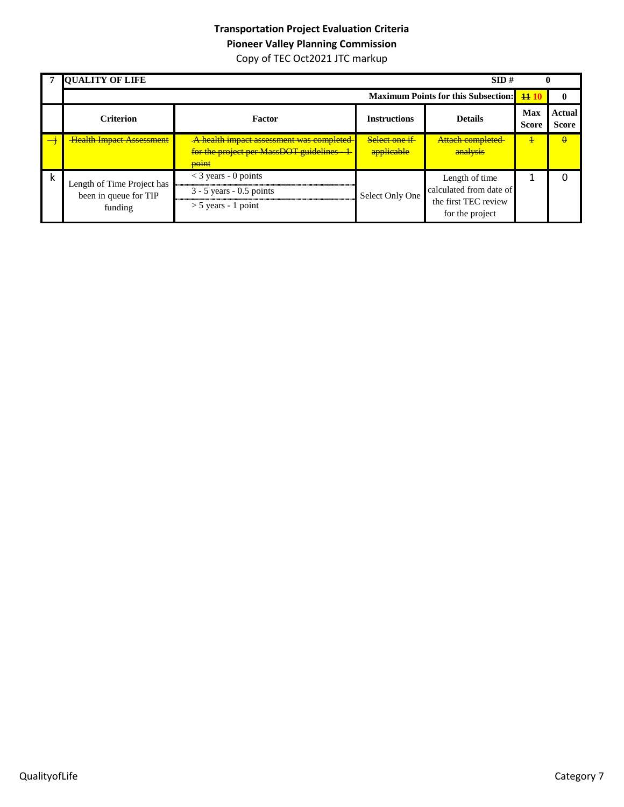|   | <b>QUALITY OF LIFE</b>                                         |                                                                                               |                             | SID#                                                                                 |                            |                               |
|---|----------------------------------------------------------------|-----------------------------------------------------------------------------------------------|-----------------------------|--------------------------------------------------------------------------------------|----------------------------|-------------------------------|
|   |                                                                |                                                                                               |                             | <b>Maximum Points for this Subsection:</b> 14 1                                      |                            |                               |
|   | <b>Criterion</b>                                               | Factor                                                                                        | <b>Instructions</b>         | <b>Details</b>                                                                       | <b>Max</b><br><b>Score</b> | <b>Actual</b><br><b>Score</b> |
|   | <b>Health Impact Assessment</b>                                | A health impact assessment was completed<br>for the project per MassDOT guidelines -<br>point | Select one if<br>applicable | Attach completed<br>analysis                                                         | ╇                          | $\theta$                      |
| k | Length of Time Project has<br>been in queue for TIP<br>funding | $<$ 3 years - 0 points<br>$3 - 5$ years - 0.5 points<br>$>$ 5 years - 1 point                 | Select Only One             | Length of time<br>calculated from date of<br>the first TEC review<br>for the project |                            |                               |